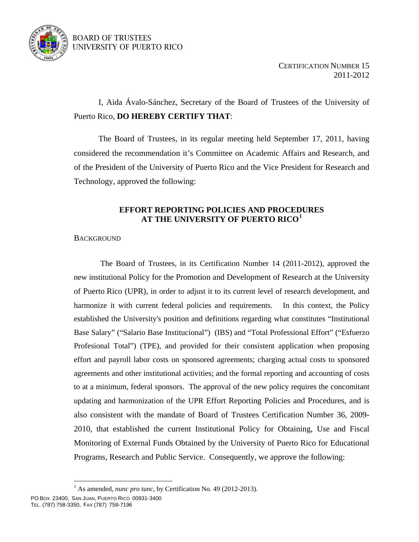

# BOARD OF TRUSTEES UNIVERSITY OF PUERTO RICO

 I, Aida Ávalo-Sánchez, Secretary of the Board of Trustees of the University of Puerto Rico, **DO HEREBY CERTIFY THAT**:

 The Board of Trustees, in its regular meeting held September 17, 2011, having considered the recommendation it's Committee on Academic Affairs and Research, and of the President of the University of Puerto Rico and the Vice President for Research and Technology, approved the following:

## **EFFORT REPORTING POLICIES AND PROCEDURES AT THE UNIVERSITY OF PUERTO RICO[1](#page-0-0)**

## **BACKGROUND**

 The Board of Trustees, in its Certification Number 14 (2011-2012), approved the new institutional Policy for the Promotion and Development of Research at the University of Puerto Rico (UPR), in order to adjust it to its current level of research development, and harmonize it with current federal policies and requirements. In this context, the Policy established the University's position and definitions regarding what constitutes "Institutional Base Salary" ("Salario Base Institucional") (IBS) and "Total Professional Effort" ("Esfuerzo Profesional Total") (TPE), and provided for their consistent application when proposing effort and payroll labor costs on sponsored agreements; charging actual costs to sponsored agreements and other institutional activities; and the formal reporting and accounting of costs to at a minimum, federal sponsors. The approval of the new policy requires the concomitant updating and harmonization of the UPR Effort Reporting Policies and Procedures, and is also consistent with the mandate of Board of Trustees Certification Number 36, 2009- 2010, that established the current Institutional Policy for Obtaining, Use and Fiscal Monitoring of External Funds Obtained by the University of Puerto Rico for Educational Programs, Research and Public Service.Consequently, we approve the following:

 $\overline{a}$ 

<span id="page-0-0"></span><sup>&</sup>lt;sup>1</sup> As amended, *nunc pro tunc*, by Certification No. 49 (2012-2013).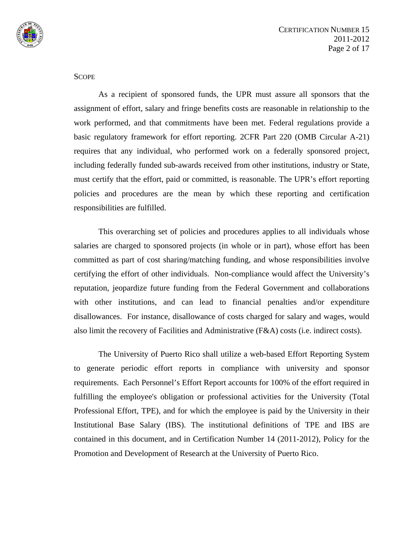

**SCOPE** 

 As a recipient of sponsored funds, the UPR must assure all sponsors that the assignment of effort, salary and fringe benefits costs are reasonable in relationship to the work performed, and that commitments have been met. Federal regulations provide a basic regulatory framework for effort reporting. 2CFR Part 220 (OMB Circular A-21) requires that any individual, who performed work on a federally sponsored project, including federally funded sub-awards received from other institutions, industry or State, must certify that the effort, paid or committed, is reasonable. The UPR's effort reporting policies and procedures are the mean by which these reporting and certification responsibilities are fulfilled.

This overarching set of policies and procedures applies to all individuals whose salaries are charged to sponsored projects (in whole or in part), whose effort has been committed as part of cost sharing/matching funding, and whose responsibilities involve certifying the effort of other individuals. Non-compliance would affect the University's reputation, jeopardize future funding from the Federal Government and collaborations with other institutions, and can lead to financial penalties and/or expenditure disallowances. For instance, disallowance of costs charged for salary and wages, would also limit the recovery of Facilities and Administrative (F&A) costs (i.e. indirect costs).

 The University of Puerto Rico shall utilize a web-based Effort Reporting System to generate periodic effort reports in compliance with university and sponsor requirements. Each Personnel's Effort Report accounts for 100% of the effort required in fulfilling the employee's obligation or professional activities for the University (Total Professional Effort, TPE), and for which the employee is paid by the University in their Institutional Base Salary (IBS). The institutional definitions of TPE and IBS are contained in this document, and in Certification Number 14 (2011-2012), Policy for the Promotion and Development of Research at the University of Puerto Rico.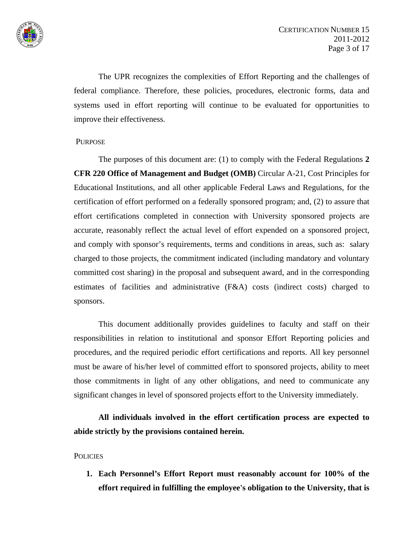

 The UPR recognizes the complexities of Effort Reporting and the challenges of federal compliance. Therefore, these policies, procedures, electronic forms, data and systems used in effort reporting will continue to be evaluated for opportunities to improve their effectiveness.

### PURPOSE

 The purposes of this document are: (1) to comply with the Federal Regulations **2 CFR 220 Office of Management and Budget (OMB)** Circular A-21, Cost Principles for Educational Institutions, and all other applicable Federal Laws and Regulations, for the certification of effort performed on a federally sponsored program; and, (2) to assure that effort certifications completed in connection with University sponsored projects are accurate, reasonably reflect the actual level of effort expended on a sponsored project, and comply with sponsor's requirements, terms and conditions in areas, such as: salary charged to those projects, the commitment indicated (including mandatory and voluntary committed cost sharing) in the proposal and subsequent award, and in the corresponding estimates of facilities and administrative (F&A) costs (indirect costs) charged to sponsors.

 This document additionally provides guidelines to faculty and staff on their responsibilities in relation to institutional and sponsor Effort Reporting policies and procedures, and the required periodic effort certifications and reports. All key personnel must be aware of his/her level of committed effort to sponsored projects, ability to meet those commitments in light of any other obligations, and need to communicate any significant changes in level of sponsored projects effort to the University immediately.

**All individuals involved in the effort certification process are expected to abide strictly by the provisions contained herein.**

### **POLICIES**

**1. Each Personnel's Effort Report must reasonably account for 100% of the effort required in fulfilling the employee's obligation to the University, that is**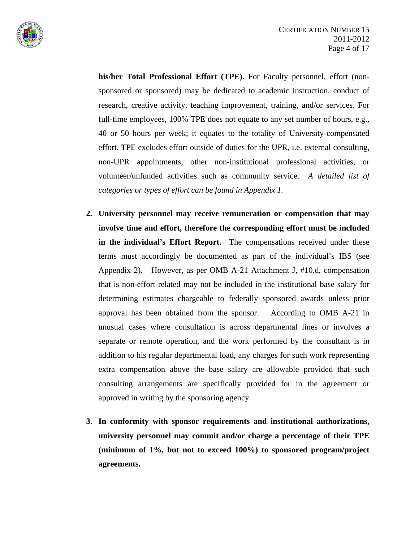

**his/her Total Professional Effort (TPE).** For Faculty personnel, effort (nonsponsored or sponsored) may be dedicated to academic instruction, conduct of research, creative activity, teaching improvement, training, and/or services. For full-time employees, 100% TPE does not equate to any set number of hours, e.g., 40 or 50 hours per week; it equates to the totality of University-compensated effort. TPE excludes effort outside of duties for the UPR, i.e. external consulting, non-UPR appointments, other non-institutional professional activities, or volunteer/unfunded activities such as community service. *A detailed list of categories or types of effort can be found in Appendix 1.* 

- **2. University personnel may receive remuneration or compensation that may involve time and effort, therefore the corresponding effort must be included in the individual's Effort Report.** The compensations received under these terms must accordingly be documented as part of the individual's IBS (see Appendix 2). However, as per OMB A-21 Attachment J, #10.d, compensation that is non-effort related may not be included in the institutional base salary for determining estimates chargeable to federally sponsored awards unless prior approval has been obtained from the sponsor. According to OMB A-21 in unusual cases where consultation is across departmental lines or involves a separate or remote operation, and the work performed by the consultant is in addition to his regular departmental load, any charges for such work representing extra compensation above the base salary are allowable provided that such consulting arrangements are specifically provided for in the agreement or approved in writing by the sponsoring agency.
- **3. In conformity with sponsor requirements and institutional authorizations, university personnel may commit and/or charge a percentage of their TPE (minimum of 1%, but not to exceed 100%) to sponsored program/project agreements.**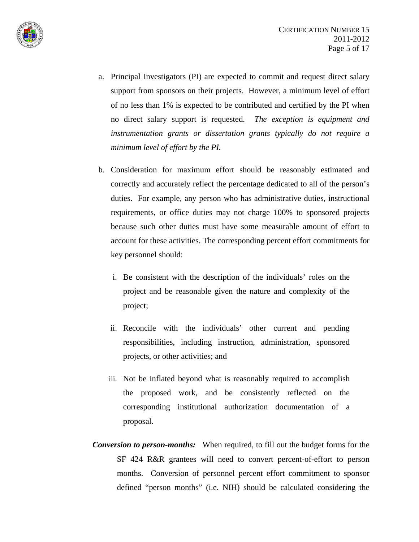

- a. Principal Investigators (PI) are expected to commit and request direct salary support from sponsors on their projects. However, a minimum level of effort of no less than 1% is expected to be contributed and certified by the PI when no direct salary support is requested. *The exception is equipment and instrumentation grants or dissertation grants typically do not require a minimum level of effort by the PI.*
- b. Consideration for maximum effort should be reasonably estimated and correctly and accurately reflect the percentage dedicated to all of the person's duties. For example, any person who has administrative duties, instructional requirements, or office duties may not charge 100% to sponsored projects because such other duties must have some measurable amount of effort to account for these activities. The corresponding percent effort commitments for key personnel should:
	- i. Be consistent with the description of the individuals' roles on the project and be reasonable given the nature and complexity of the project;
	- ii. Reconcile with the individuals' other current and pending responsibilities, including instruction, administration, sponsored projects, or other activities; and
	- iii. Not be inflated beyond what is reasonably required to accomplish the proposed work, and be consistently reflected on the corresponding institutional authorization documentation of a proposal.
- *Conversion to person-months:* When required, to fill out the budget forms for the SF 424 R&R grantees will need to convert percent-of-effort to person months. Conversion of personnel percent effort commitment to sponsor defined "person months" (i.e. NIH) should be calculated considering the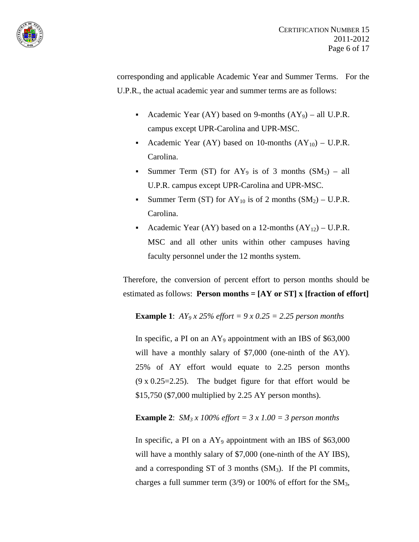

corresponding and applicable Academic Year and Summer Terms. For the U.P.R., the actual academic year and summer terms are as follows:

- Academic Year (AY) based on 9-months  $(AY_9)$  all U.P.R. campus except UPR-Carolina and UPR-MSC.
- Academic Year (AY) based on 10-months  $(AY_{10}) U.P.R$ . Carolina.
- Summer Term (ST) for AY<sub>9</sub> is of 3 months  $(SM_3)$  all U.P.R. campus except UPR-Carolina and UPR-MSC.
- Summer Term (ST) for  $AY_{10}$  is of 2 months  $(SM_2) U.P.R$ . Carolina.
- Academic Year (AY) based on a 12-months  $(AY_{12}) U.P.R$ . MSC and all other units within other campuses having faculty personnel under the 12 months system.

Therefore, the conversion of percent effort to person months should be estimated as follows: **Person months = [AY or ST] x [fraction of effort]**

**Example 1**: *AY<sub>9</sub> x 25% effort* =  $9 \times 0.25 = 2.25$  person months

In specific, a PI on an  $AY_9$  appointment with an IBS of \$63,000 will have a monthly salary of \$7,000 (one-ninth of the AY). 25% of AY effort would equate to 2.25 person months (9 x 0.25=2.25). The budget figure for that effort would be \$15,750 (\$7,000 multiplied by 2.25 AY person months).

**Example 2:** *SM<sub>3</sub> x 100% effort = 3 x 1.00 = 3 person months* 

In specific, a PI on a AY<sub>9</sub> appointment with an IBS of \$63,000 will have a monthly salary of \$7,000 (one-ninth of the AY IBS), and a corresponding ST of 3 months  $(SM_3)$ . If the PI commits, charges a full summer term  $(3/9)$  or 100% of effort for the SM<sub>3</sub>,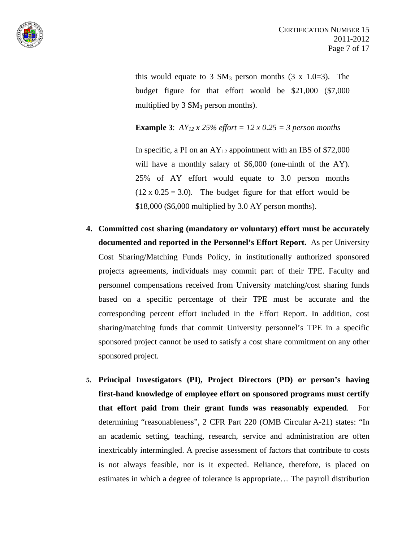

this would equate to 3  $SM_3$  person months (3 x 1.0=3). The budget figure for that effort would be \$21,000 (\$7,000 multiplied by  $3 \text{ SM}_3$  person months).

**Example 3:**  $AY_{12}$  x 25% *effort* = 12 x 0.25 = 3 *person months* 

In specific, a PI on an  $AY_{12}$  appointment with an IBS of \$72,000 will have a monthly salary of \$6,000 (one-ninth of the AY). 25% of AY effort would equate to 3.0 person months  $(12 \times 0.25 = 3.0)$ . The budget figure for that effort would be \$18,000 (\$6,000 multiplied by 3.0 AY person months).

- **4. Committed cost sharing (mandatory or voluntary) effort must be accurately documented and reported in the Personnel's Effort Report.** As per University Cost Sharing/Matching Funds Policy, in institutionally authorized sponsored projects agreements, individuals may commit part of their TPE. Faculty and personnel compensations received from University matching/cost sharing funds based on a specific percentage of their TPE must be accurate and the corresponding percent effort included in the Effort Report. In addition, cost sharing/matching funds that commit University personnel's TPE in a specific sponsored project cannot be used to satisfy a cost share commitment on any other sponsored project.
- **5. Principal Investigators (PI), Project Directors (PD) or person's having first-hand knowledge of employee effort on sponsored programs must certify that effort paid from their grant funds was reasonably expended**. For determining "reasonableness", 2 CFR Part 220 (OMB Circular A-21) states: "In an academic setting, teaching, research, service and administration are often inextricably intermingled. A precise assessment of factors that contribute to costs is not always feasible, nor is it expected. Reliance, therefore, is placed on estimates in which a degree of tolerance is appropriate… The payroll distribution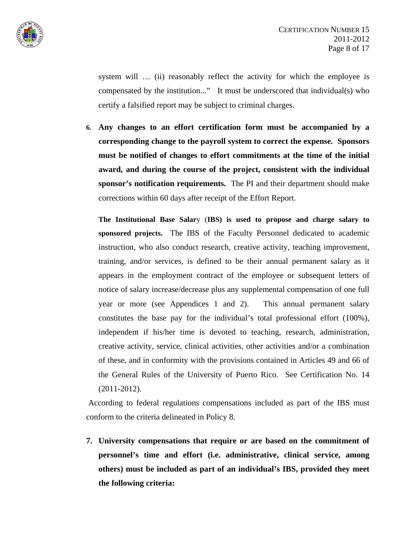

system will ... (ii) reasonably reflect the activity for which the employee is compensated by the institution..." It must be underscored that individual(s) who certify a falsified report may be subject to criminal charges.

**6. Any changes to an effort certification form must be accompanied by a corresponding change to the payroll system to correct the expense. Sponsors must be notified of changes to effort commitments at the time of the initial award, and during the course of the project, consistent with the individual sponsor's notification requirements.** The PI and their department should make corrections within 60 days after receipt of the Effort Report.

**The Institutional Base Salar**y (**IBS) is used to propose and charge salary to sponsored projects.** The IBS of the Faculty Personnel dedicated to academic instruction, who also conduct research, creative activity, teaching improvement, training, and/or services, is defined to be their annual permanent salary as it appears in the employment contract of the employee or subsequent letters of notice of salary increase/decrease plus any supplemental compensation of one full year or more (see Appendices 1 and 2). This annual permanent salary constitutes the base pay for the individual's total professional effort (100%), independent if his/her time is devoted to teaching, research, administration, creative activity, service, clinical activities, other activities and/or a combination of these, and in conformity with the provisions contained in Articles 49 and 66 of the General Rules of the University of Puerto Rico. See Certification No. 14 (2011-2012).

 According to federal regulations compensations included as part of the IBS must conform to the criteria delineated in Policy 8.

**7. University compensations that require or are based on the commitment of personnel's time and effort (i.e. administrative, clinical service, among others) must be included as part of an individual's IBS, provided they meet the following criteria:**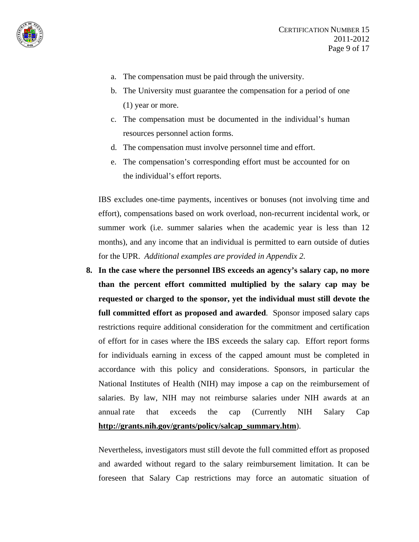

- a. The compensation must be paid through the university.
- b. The University must guarantee the compensation for a period of one (1) year or more.
- c. The compensation must be documented in the individual's human resources personnel action forms.
- d. The compensation must involve personnel time and effort.
- e. The compensation's corresponding effort must be accounted for on the individual's effort reports.

IBS excludes one-time payments, incentives or bonuses (not involving time and effort), compensations based on work overload, non-recurrent incidental work, or summer work (i.e. summer salaries when the academic year is less than 12 months), and any income that an individual is permitted to earn outside of duties for the UPR. *Additional examples are provided in Appendix 2.*

**8. In the case where the personnel IBS exceeds an agency's salary cap, no more than the percent effort committed multiplied by the salary cap may be requested or charged to the sponsor, yet the individual must still devote the full committed effort as proposed and awarded**. Sponsor imposed salary caps restrictions require additional consideration for the commitment and certification of effort for in cases where the IBS exceeds the salary cap. Effort report forms for individuals earning in excess of the capped amount must be completed in accordance with this policy and considerations. Sponsors, in particular the National Institutes of Health (NIH) may impose a cap on the reimbursement of salaries. By law, NIH may not reimburse salaries under NIH awards at an annual rate that exceeds the cap (Currently NIH Salary Cap **[http://grants.nih.gov/grants/policy/salcap\\_summary.htm](http://grants.nih.gov/grants/policy/salcap_summary.htm)**).

Nevertheless, investigators must still devote the full committed effort as proposed and awarded without regard to the salary reimbursement limitation. It can be foreseen that Salary Cap restrictions may force an automatic situation of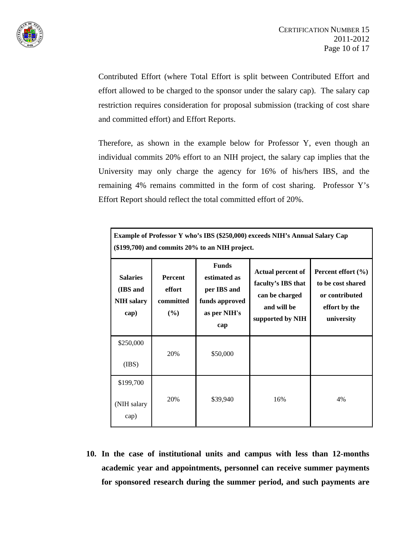

Contributed Effort (where Total Effort is split between Contributed Effort and effort allowed to be charged to the sponsor under the salary cap). The salary cap restriction requires consideration for proposal submission (tracking of cost share and committed effort) and Effort Reports.

Therefore, as shown in the example below for Professor Y, even though an individual commits 20% effort to an NIH project, the salary cap implies that the University may only charge the agency for 16% of his/hers IBS, and the remaining 4% remains committed in the form of cost sharing. Professor Y's Effort Report should reflect the total committed effort of 20%.

| Example of Professor Y who's IBS (\$250,000) exceeds NIH's Annual Salary Cap<br>$(\$199,700)$ and commits 20% to an NIH project. |                                              |                                                                                      |                                                                                                     |                                                                                              |  |  |  |
|----------------------------------------------------------------------------------------------------------------------------------|----------------------------------------------|--------------------------------------------------------------------------------------|-----------------------------------------------------------------------------------------------------|----------------------------------------------------------------------------------------------|--|--|--|
| <b>Salaries</b><br>(IBS and<br><b>NIH</b> salary<br>cap)                                                                         | <b>Percent</b><br>effort<br>committed<br>(%) | <b>Funds</b><br>estimated as<br>per IBS and<br>funds approved<br>as per NIH's<br>cap | <b>Actual percent of</b><br>faculty's IBS that<br>can be charged<br>and will be<br>supported by NIH | Percent effort $(\% )$<br>to be cost shared<br>or contributed<br>effort by the<br>university |  |  |  |
| \$250,000<br>(IBS)                                                                                                               | 20%                                          | \$50,000                                                                             |                                                                                                     |                                                                                              |  |  |  |
| \$199,700<br>(NIH salary<br>cap)                                                                                                 | 20%                                          | \$39,940                                                                             | 16%                                                                                                 | 4%                                                                                           |  |  |  |

**10. In the case of institutional units and campus with less than 12-months academic year and appointments, personnel can receive summer payments for sponsored research during the summer period, and such payments are**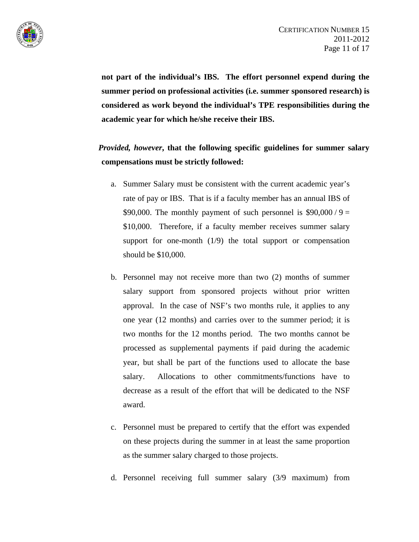

**not part of the individual's IBS. The effort personnel expend during the summer period on professional activities (i.e. summer sponsored research) is considered as work beyond the individual's TPE responsibilities during the academic year for which he/she receive their IBS.** 

# *Provided, however***, that the following specific guidelines for summer salary compensations must be strictly followed:**

- a. Summer Salary must be consistent with the current academic year's rate of pay or IBS. That is if a faculty member has an annual IBS of \$90,000. The monthly payment of such personnel is  $$90,000 / 9 =$ \$10,000. Therefore, if a faculty member receives summer salary support for one-month (1/9) the total support or compensation should be \$10,000.
- b. Personnel may not receive more than two (2) months of summer salary support from sponsored projects without prior written approval. In the case of NSF's two months rule, it applies to any one year (12 months) and carries over to the summer period; it is two months for the 12 months period. The two months cannot be processed as supplemental payments if paid during the academic year, but shall be part of the functions used to allocate the base salary. Allocations to other commitments/functions have to decrease as a result of the effort that will be dedicated to the NSF award.
- c. Personnel must be prepared to certify that the effort was expended on these projects during the summer in at least the same proportion as the summer salary charged to those projects.
- d. Personnel receiving full summer salary (3/9 maximum) from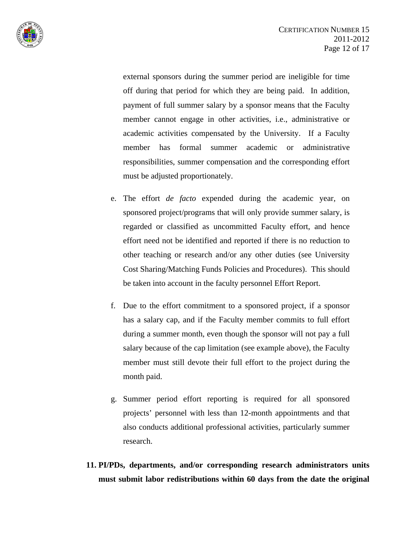

external sponsors during the summer period are ineligible for time off during that period for which they are being paid. In addition, payment of full summer salary by a sponsor means that the Faculty member cannot engage in other activities, i.e., administrative or academic activities compensated by the University. If a Faculty member has formal summer academic or administrative responsibilities, summer compensation and the corresponding effort must be adjusted proportionately.

- e. The effort *de facto* expended during the academic year, on sponsored project/programs that will only provide summer salary, is regarded or classified as uncommitted Faculty effort, and hence effort need not be identified and reported if there is no reduction to other teaching or research and/or any other duties (see University Cost Sharing/Matching Funds Policies and Procedures). This should be taken into account in the faculty personnel Effort Report.
- f. Due to the effort commitment to a sponsored project, if a sponsor has a salary cap, and if the Faculty member commits to full effort during a summer month, even though the sponsor will not pay a full salary because of the cap limitation (see example above), the Faculty member must still devote their full effort to the project during the month paid.
- g. Summer period effort reporting is required for all sponsored projects' personnel with less than 12-month appointments and that also conducts additional professional activities, particularly summer research.
- **11. PI/PDs, departments, and/or corresponding research administrators units must submit labor redistributions within 60 days from the date the original**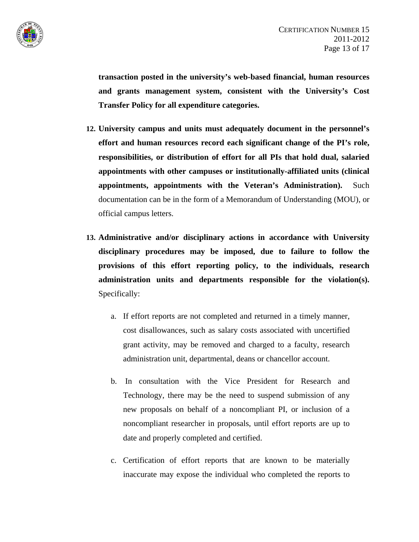

**transaction posted in the university's web-based financial, human resources and grants management system, consistent with the University's Cost Transfer Policy for all expenditure categories.** 

- **12. University campus and units must adequately document in the personnel's effort and human resources record each significant change of the PI's role, responsibilities, or distribution of effort for all PIs that hold dual, salaried appointments with other campuses or institutionally-affiliated units (clinical appointments, appointments with the Veteran's Administration).** Such documentation can be in the form of a Memorandum of Understanding (MOU), or official campus letters.
- **13. Administrative and/or disciplinary actions in accordance with University disciplinary procedures may be imposed, due to failure to follow the provisions of this effort reporting policy, to the individuals, research administration units and departments responsible for the violation(s).** Specifically:
	- a. If effort reports are not completed and returned in a timely manner, cost disallowances, such as salary costs associated with uncertified grant activity, may be removed and charged to a faculty, research administration unit, departmental, deans or chancellor account.
	- b. In consultation with the Vice President for Research and Technology, there may be the need to suspend submission of any new proposals on behalf of a noncompliant PI, or inclusion of a noncompliant researcher in proposals, until effort reports are up to date and properly completed and certified.
	- c. Certification of effort reports that are known to be materially inaccurate may expose the individual who completed the reports to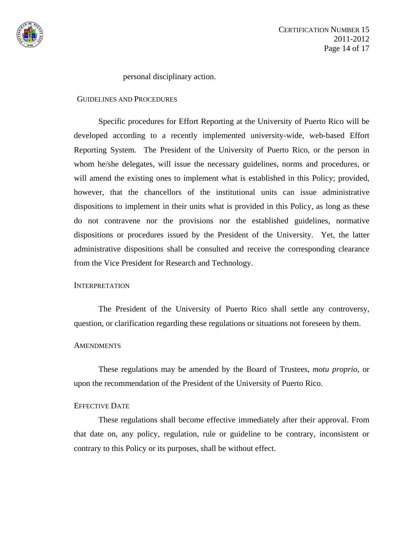

personal disciplinary action.

#### GUIDELINES AND PROCEDURES

Specific procedures for Effort Reporting at the University of Puerto Rico will be developed according to a recently implemented university-wide, web-based Effort Reporting System. The President of the University of Puerto Rico, or the person in whom he/she delegates, will issue the necessary guidelines, norms and procedures, or will amend the existing ones to implement what is established in this Policy; provided, however, that the chancellors of the institutional units can issue administrative dispositions to implement in their units what is provided in this Policy, as long as these do not contravene nor the provisions nor the established guidelines, normative dispositions or procedures issued by the President of the University. Yet, the latter administrative dispositions shall be consulted and receive the corresponding clearance from the Vice President for Research and Technology.

### **INTERPRETATION**

The President of the University of Puerto Rico shall settle any controversy, question, or clarification regarding these regulations or situations not foreseen by them.

### **AMENDMENTS**

These regulations may be amended by the Board of Trustees, *motu proprio*, or upon the recommendation of the President of the University of Puerto Rico.

## EFFECTIVE DATE

These regulations shall become effective immediately after their approval. From that date on, any policy, regulation, rule or guideline to be contrary, inconsistent or contrary to this Policy or its purposes, shall be without effect.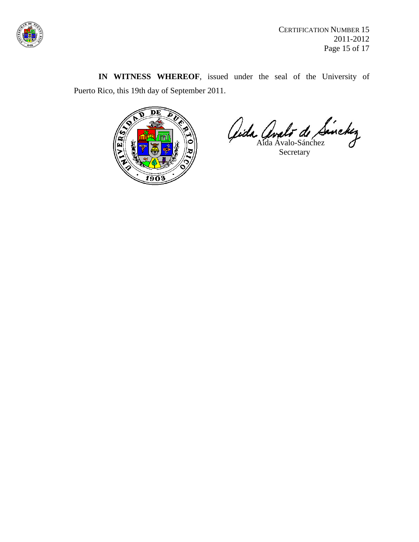

CERTIFICATION NUMBER 15 2011-2012 Page 15 of 17

**IN WITNESS WHEREOF**, issued under the seal of the University of Puerto Rico, this 19th day of September 2011.



Aida Avalo de Sinckez

Secretary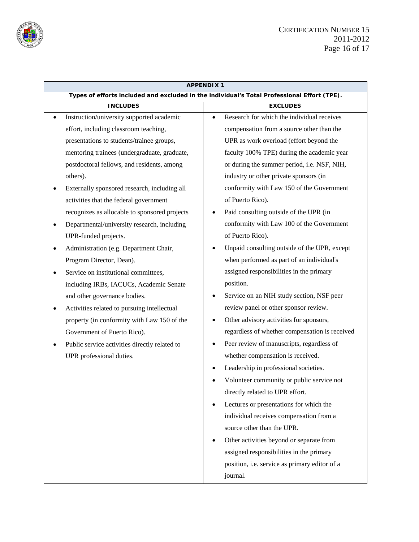

| <b>APPENDIX1</b> |                                               |                                                                                             |  |  |  |
|------------------|-----------------------------------------------|---------------------------------------------------------------------------------------------|--|--|--|
|                  |                                               | Types of efforts included and excluded in the individual's Total Professional Effort (TPE). |  |  |  |
|                  | <b>INCLUDES</b>                               | <b>EXCLUDES</b>                                                                             |  |  |  |
| $\bullet$        | Instruction/university supported academic     | Research for which the individual receives<br>$\bullet$                                     |  |  |  |
|                  | effort, including classroom teaching,         | compensation from a source other than the                                                   |  |  |  |
|                  | presentations to students/trainee groups,     | UPR as work overload (effort beyond the                                                     |  |  |  |
|                  | mentoring trainees (undergraduate, graduate,  | faculty 100% TPE) during the academic year                                                  |  |  |  |
|                  | postdoctoral fellows, and residents, among    | or during the summer period, i.e. NSF, NIH,                                                 |  |  |  |
|                  | others).                                      | industry or other private sponsors (in                                                      |  |  |  |
|                  | Externally sponsored research, including all  | conformity with Law 150 of the Government                                                   |  |  |  |
|                  | activities that the federal government        | of Puerto Rico).                                                                            |  |  |  |
|                  | recognizes as allocable to sponsored projects | Paid consulting outside of the UPR (in<br>$\bullet$                                         |  |  |  |
|                  | Departmental/university research, including   | conformity with Law 100 of the Government                                                   |  |  |  |
|                  | UPR-funded projects.                          | of Puerto Rico).                                                                            |  |  |  |
|                  | Administration (e.g. Department Chair,        | Unpaid consulting outside of the UPR, except<br>$\bullet$                                   |  |  |  |
|                  | Program Director, Dean).                      | when performed as part of an individual's                                                   |  |  |  |
|                  | Service on institutional committees,          | assigned responsibilities in the primary                                                    |  |  |  |
|                  | including IRBs, IACUCs, Academic Senate       | position.                                                                                   |  |  |  |
|                  | and other governance bodies.                  | Service on an NIH study section, NSF peer<br>$\bullet$                                      |  |  |  |
| ٠                | Activities related to pursuing intellectual   | review panel or other sponsor review.                                                       |  |  |  |
|                  | property (in conformity with Law 150 of the   | Other advisory activities for sponsors,                                                     |  |  |  |
|                  | Government of Puerto Rico).                   | regardless of whether compensation is received                                              |  |  |  |
|                  | Public service activities directly related to | Peer review of manuscripts, regardless of<br>$\bullet$                                      |  |  |  |
|                  | UPR professional duties.                      | whether compensation is received.                                                           |  |  |  |
|                  |                                               | Leadership in professional societies.                                                       |  |  |  |
|                  |                                               | Volunteer community or public service not                                                   |  |  |  |
|                  |                                               | directly related to UPR effort.                                                             |  |  |  |
|                  |                                               | Lectures or presentations for which the<br>٠                                                |  |  |  |
|                  |                                               | individual receives compensation from a                                                     |  |  |  |
|                  |                                               | source other than the UPR.                                                                  |  |  |  |
|                  |                                               | Other activities beyond or separate from<br>$\bullet$                                       |  |  |  |
|                  |                                               | assigned responsibilities in the primary                                                    |  |  |  |
|                  |                                               | position, i.e. service as primary editor of a                                               |  |  |  |
|                  |                                               | journal.                                                                                    |  |  |  |